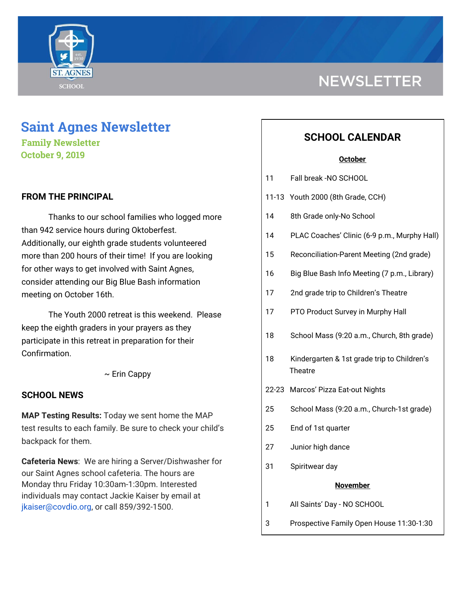

# **NEWSLETTER**

# **Saint Agnes Newsletter**

**Family Newsletter October 9, 2019**

# **FROM THE PRINCIPAL**

Thanks to our school families who logged more than 942 service hours during Oktoberfest. Additionally, our eighth grade students volunteered more than 200 hours of their time! If you are looking for other ways to get involved with Saint Agnes, consider attending our Big Blue Bash information meeting on October 16th.

The Youth 2000 retreat is this weekend. Please keep the eighth graders in your prayers as they participate in this retreat in preparation for their Confirmation.

 $\sim$  Erin Cappy

### **SCHOOL NEWS**

**MAP Testing Results:** Today we sent home the MAP test results to each family. Be sure to check your child's backpack for them.

**Cafeteria News**: We are hiring a Server/Dishwasher for our Saint Agnes school cafeteria. The hours are Monday thru Friday 10:30am-1:30pm. Interested individuals may contact Jackie Kaiser by email at jkaiser@covdio.org, or call 859/392-1500.

# **SCHOOL CALENDAR**

#### **October**

- 11 Fall break -NO SCHOOL
- 11-13 Youth 2000 (8th Grade, CCH)
- 14 8th Grade only-No School
- 14 PLAC Coaches' Clinic (6-9 p.m., Murphy Hall)
- 15 Reconciliation-Parent Meeting (2nd grade)
- 16 Big Blue Bash Info Meeting (7 p.m., Library)
- 17 2nd grade trip to Children's Theatre
- 17 PTO Product Survey in Murphy Hall
- 18 School Mass (9:20 a.m., Church, 8th grade)
- 18 Kindergarten & 1st grade trip to Children's **Theatre**
- 22-23 Marcos' Pizza Eat-out Nights
- 25 School Mass (9:20 a.m., Church-1st grade)
- 25 End of 1st quarter
- 27 Junior high dance
- 31 Spiritwear day

#### **November**

- 1 All Saints' Day NO SCHOOL
- 3 Prospective Family Open House 11:30-1:30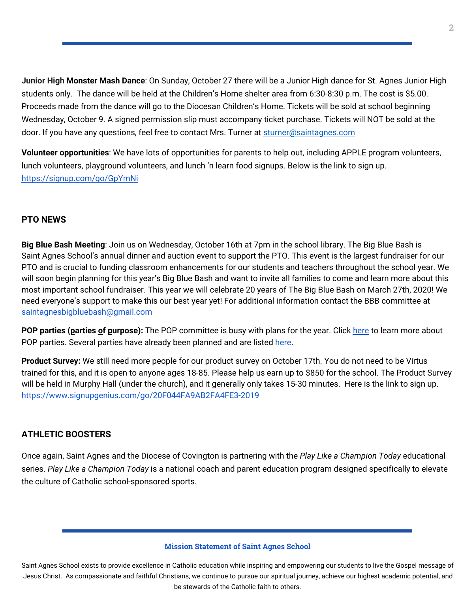**Junior High Monster Mash Dance**: On Sunday, October 27 there will be a Junior High dance for St. Agnes Junior High students only. The dance will be held at the Children's Home shelter area from 6:30-8:30 p.m. The cost is \$5.00. Proceeds made from the dance will go to the Diocesan Children's Home. Tickets will be sold at school beginning Wednesday, October 9. A signed permission slip must accompany ticket purchase. Tickets will NOT be sold at the door. If you have any questions, feel free to contact Mrs. Turner at [sturner@saintagnes.com](mailto:sturner@saintagnes.com)

**Volunteer opportunities**: We have lots of opportunities for parents to help out, including APPLE program volunteers, lunch volunteers, playground volunteers, and lunch 'n learn food signups. Below is the link to sign up. <https://signup.com/go/GpYmNi>

### **PTO NEWS**

**Big Blue Bash Meeting**: Join us on Wednesday, October 16th at 7pm in the school library. The Big Blue Bash is Saint Agnes School's annual dinner and auction event to support the PTO. This event is the largest fundraiser for our PTO and is crucial to funding classroom enhancements for our students and teachers throughout the school year. We will soon begin planning for this year's Big Blue Bash and want to invite all families to come and learn more about this most important school fundraiser. This year we will celebrate 20 years of The Big Blue Bash on March 27th, 2020! We need everyone's support to make this our best year yet! For additional information contact the BBB committee at saintagnesbigbluebash@gmail.com

**POP** parties (parties of purpose): The POP committee is busy with plans for the year. Click [here](http://school.saintagnes.com/wp-content/uploads/2019/10/POP-2019-Volunteer-letter.pdf) to learn more about POP parties. Several parties have already been planned and are listed [here](http://school.saintagnes.com/wp-content/uploads/2019/10/POP-Parties_2019.pdf).

**Product Survey:** We still need more people for our product survey on October 17th. You do not need to be Virtus trained for this, and it is open to anyone ages 18-85. Please help us earn up to \$850 for the school. The Product Survey will be held in Murphy Hall (under the church), and it generally only takes 15-30 minutes. Here is the link to sign up. <https://www.signupgenius.com/go/20F044FA9AB2FA4FE3-2019>

# **ATHLETIC BOOSTERS**

Once again, Saint Agnes and the Diocese of Covington is partnering with the *Play Like a Champion Today* educational series. *Play Like a Champion Today* is a national coach and parent education program designed specifically to elevate the culture of Catholic school-sponsored sports.

#### **Mission Statement of Saint Agnes School**

Saint Agnes School exists to provide excellence in Catholic education while inspiring and empowering our students to live the Gospel message of Jesus Christ. As compassionate and faithful Christians, we continue to pursue our spiritual journey, achieve our highest academic potential, and be stewards of the Catholic faith to others.